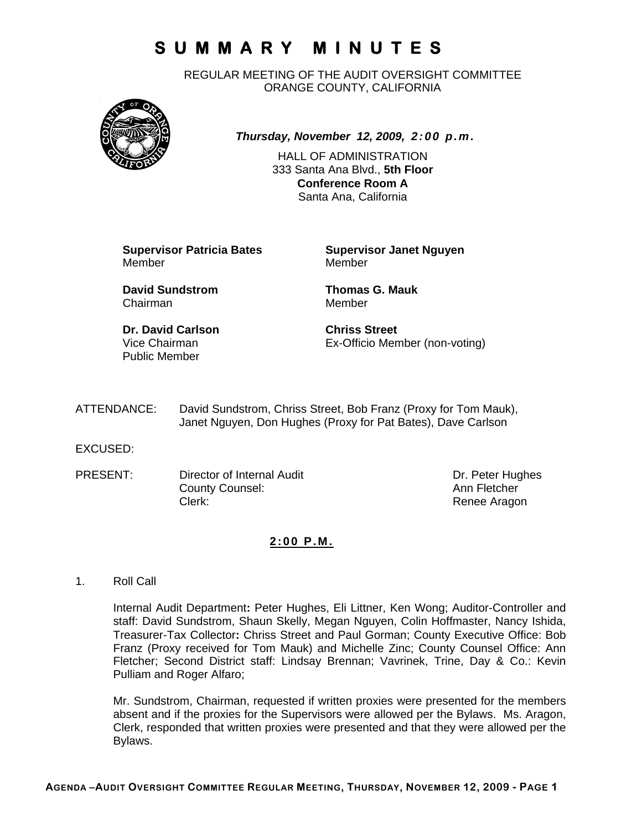REGULAR MEETING OF THE AUDIT OVERSIGHT COMMITTEE ORANGE COUNTY, CALIFORNIA



*Thursday, November 12, 2009, 2:00 p.m.*

HALL OF ADMINISTRATION 333 Santa Ana Blvd., **5th Floor Conference Room A**  Santa Ana, California

**Supervisor Patricia Bates Supervisor Janet Nguyen** Member Member

**David Sundstrom Thomas G. Mauk**  Chairman Member

**Dr. David Carlson Chriss Street** Public Member

Vice Chairman Ex-Officio Member (non-voting)

ATTENDANCE: David Sundstrom, Chriss Street, Bob Franz (Proxy for Tom Mauk), Janet Nguyen, Don Hughes (Proxy for Pat Bates), Dave Carlson

EXCUSED:

PRESENT: Director of Internal Audit Dr. Peter Hughes County Counsel: Counsel: County Counsel: County Counsel: Ann Fletcher Clerk: Clerk: Clerk: Clerk: Renee Aragon

### **2:00 P.M.**

1. Roll Call

Internal Audit Department**:** Peter Hughes, Eli Littner, Ken Wong; Auditor-Controller and staff: David Sundstrom, Shaun Skelly, Megan Nguyen, Colin Hoffmaster, Nancy Ishida, Treasurer-Tax Collector**:** Chriss Street and Paul Gorman; County Executive Office: Bob Franz (Proxy received for Tom Mauk) and Michelle Zinc; County Counsel Office: Ann Fletcher; Second District staff: Lindsay Brennan; Vavrinek, Trine, Day & Co.: Kevin Pulliam and Roger Alfaro;

Mr. Sundstrom, Chairman, requested if written proxies were presented for the members absent and if the proxies for the Supervisors were allowed per the Bylaws. Ms. Aragon, Clerk, responded that written proxies were presented and that they were allowed per the Bylaws.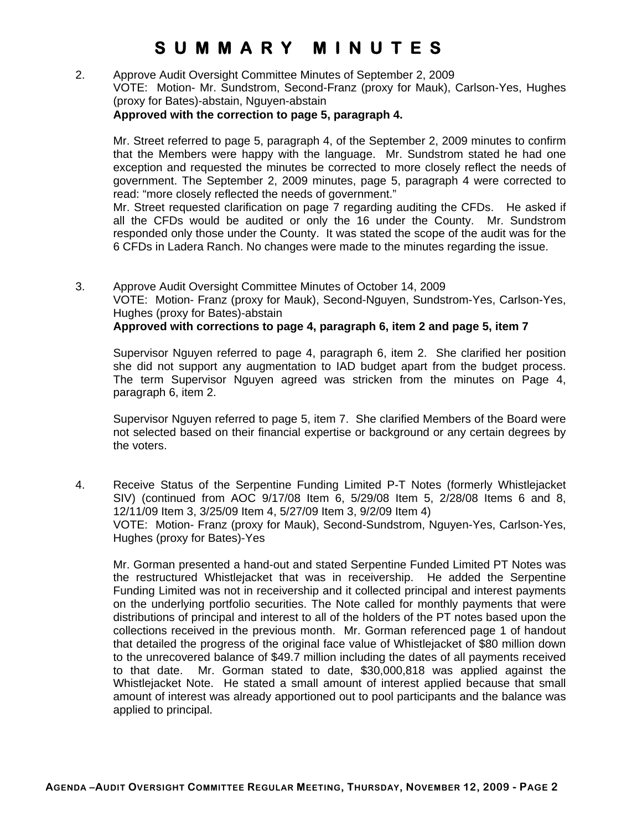2. Approve Audit Oversight Committee Minutes of September 2, 2009 VOTE: Motion- Mr. Sundstrom, Second-Franz (proxy for Mauk), Carlson-Yes, Hughes (proxy for Bates)-abstain, Nguyen-abstain **Approved with the correction to page 5, paragraph 4.** 

Mr. Street referred to page 5, paragraph 4, of the September 2, 2009 minutes to confirm that the Members were happy with the language. Mr. Sundstrom stated he had one exception and requested the minutes be corrected to more closely reflect the needs of government. The September 2, 2009 minutes, page 5, paragraph 4 were corrected to read: "more closely reflected the needs of government."

Mr. Street requested clarification on page 7 regarding auditing the CFDs. He asked if all the CFDs would be audited or only the 16 under the County. Mr. Sundstrom responded only those under the County. It was stated the scope of the audit was for the 6 CFDs in Ladera Ranch. No changes were made to the minutes regarding the issue.

3. Approve Audit Oversight Committee Minutes of October 14, 2009 VOTE: Motion- Franz (proxy for Mauk), Second-Nguyen, Sundstrom-Yes, Carlson-Yes, Hughes (proxy for Bates)-abstain **Approved with corrections to page 4, paragraph 6, item 2 and page 5, item 7** 

Supervisor Nguyen referred to page 4, paragraph 6, item 2. She clarified her position she did not support any augmentation to IAD budget apart from the budget process. The term Supervisor Nguyen agreed was stricken from the minutes on Page 4, paragraph 6, item 2.

Supervisor Nguyen referred to page 5, item 7. She clarified Members of the Board were not selected based on their financial expertise or background or any certain degrees by the voters.

4. Receive Status of the Serpentine Funding Limited P-T Notes (formerly Whistlejacket SIV) (continued from AOC 9/17/08 Item 6, 5/29/08 Item 5, 2/28/08 Items 6 and 8, 12/11/09 Item 3, 3/25/09 Item 4, 5/27/09 Item 3, 9/2/09 Item 4) VOTE: Motion- Franz (proxy for Mauk), Second-Sundstrom, Nguyen-Yes, Carlson-Yes, Hughes (proxy for Bates)-Yes

Mr. Gorman presented a hand-out and stated Serpentine Funded Limited PT Notes was the restructured Whistlejacket that was in receivership. He added the Serpentine Funding Limited was not in receivership and it collected principal and interest payments on the underlying portfolio securities. The Note called for monthly payments that were distributions of principal and interest to all of the holders of the PT notes based upon the collections received in the previous month. Mr. Gorman referenced page 1 of handout that detailed the progress of the original face value of Whistlejacket of \$80 million down to the unrecovered balance of \$49.7 million including the dates of all payments received to that date. Mr. Gorman stated to date, \$30,000,818 was applied against the Whistlejacket Note. He stated a small amount of interest applied because that small amount of interest was already apportioned out to pool participants and the balance was applied to principal.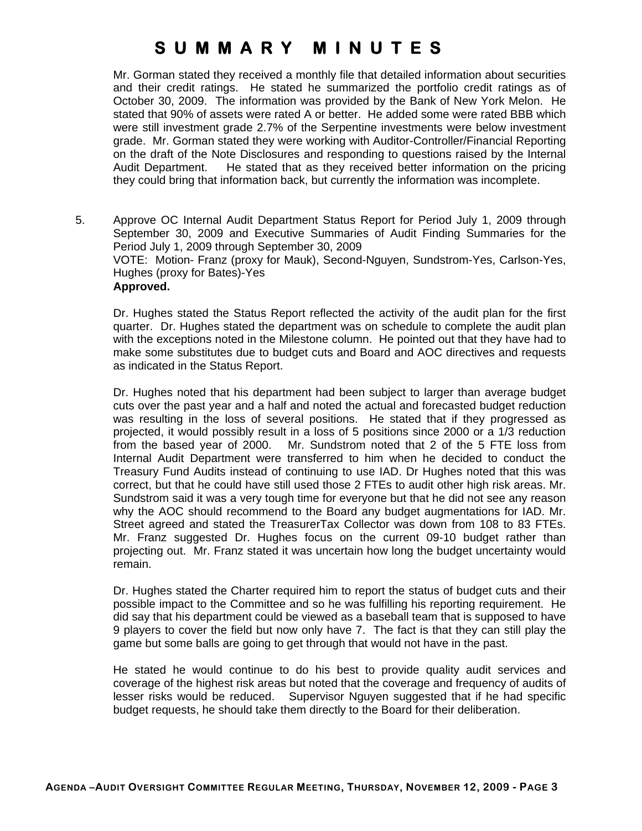Mr. Gorman stated they received a monthly file that detailed information about securities and their credit ratings. He stated he summarized the portfolio credit ratings as of October 30, 2009. The information was provided by the Bank of New York Melon. He stated that 90% of assets were rated A or better. He added some were rated BBB which were still investment grade 2.7% of the Serpentine investments were below investment grade. Mr. Gorman stated they were working with Auditor-Controller/Financial Reporting on the draft of the Note Disclosures and responding to questions raised by the Internal Audit Department. He stated that as they received better information on the pricing they could bring that information back, but currently the information was incomplete.

5. Approve OC Internal Audit Department Status Report for Period July 1, 2009 through September 30, 2009 and Executive Summaries of Audit Finding Summaries for the Period July 1, 2009 through September 30, 2009 VOTE: Motion- Franz (proxy for Mauk), Second-Nguyen, Sundstrom-Yes, Carlson-Yes, Hughes (proxy for Bates)-Yes **Approved.** 

Dr. Hughes stated the Status Report reflected the activity of the audit plan for the first quarter. Dr. Hughes stated the department was on schedule to complete the audit plan with the exceptions noted in the Milestone column. He pointed out that they have had to make some substitutes due to budget cuts and Board and AOC directives and requests as indicated in the Status Report.

Dr. Hughes noted that his department had been subject to larger than average budget cuts over the past year and a half and noted the actual and forecasted budget reduction was resulting in the loss of several positions. He stated that if they progressed as projected, it would possibly result in a loss of 5 positions since 2000 or a 1/3 reduction from the based year of 2000. Mr. Sundstrom noted that 2 of the 5 FTE loss from Internal Audit Department were transferred to him when he decided to conduct the Treasury Fund Audits instead of continuing to use IAD. Dr Hughes noted that this was correct, but that he could have still used those 2 FTEs to audit other high risk areas. Mr. Sundstrom said it was a very tough time for everyone but that he did not see any reason why the AOC should recommend to the Board any budget augmentations for IAD. Mr. Street agreed and stated the TreasurerTax Collector was down from 108 to 83 FTEs. Mr. Franz suggested Dr. Hughes focus on the current 09-10 budget rather than projecting out. Mr. Franz stated it was uncertain how long the budget uncertainty would remain.

Dr. Hughes stated the Charter required him to report the status of budget cuts and their possible impact to the Committee and so he was fulfilling his reporting requirement. He did say that his department could be viewed as a baseball team that is supposed to have 9 players to cover the field but now only have 7. The fact is that they can still play the game but some balls are going to get through that would not have in the past.

He stated he would continue to do his best to provide quality audit services and coverage of the highest risk areas but noted that the coverage and frequency of audits of lesser risks would be reduced. Supervisor Nguyen suggested that if he had specific budget requests, he should take them directly to the Board for their deliberation.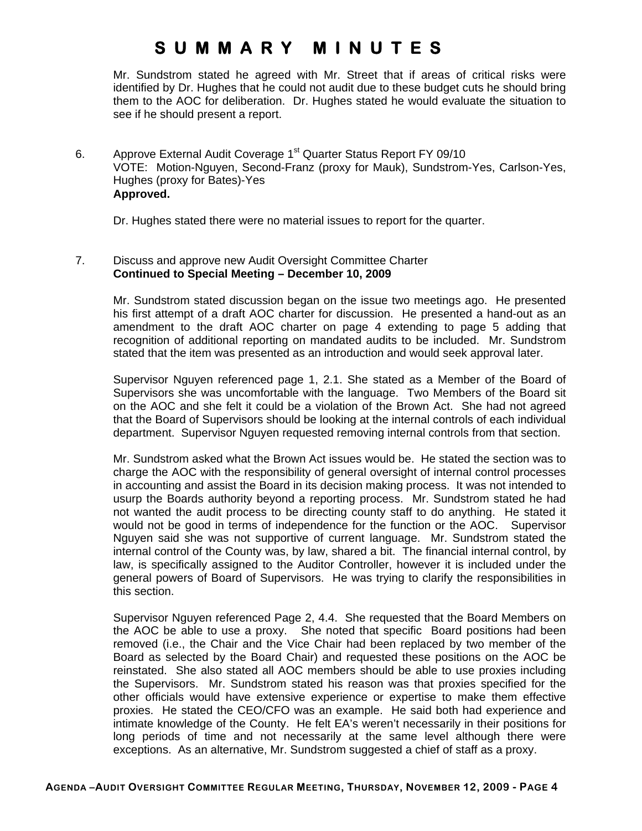Mr. Sundstrom stated he agreed with Mr. Street that if areas of critical risks were identified by Dr. Hughes that he could not audit due to these budget cuts he should bring them to the AOC for deliberation. Dr. Hughes stated he would evaluate the situation to see if he should present a report.

6. Approve External Audit Coverage 1<sup>st</sup> Quarter Status Report FY 09/10 VOTE: Motion-Nguyen, Second-Franz (proxy for Mauk), Sundstrom-Yes, Carlson-Yes, Hughes (proxy for Bates)-Yes  **Approved.** 

Dr. Hughes stated there were no material issues to report for the quarter.

### 7. Discuss and approve new Audit Oversight Committee Charter **Continued to Special Meeting – December 10, 2009**

Mr. Sundstrom stated discussion began on the issue two meetings ago. He presented his first attempt of a draft AOC charter for discussion. He presented a hand-out as an amendment to the draft AOC charter on page 4 extending to page 5 adding that recognition of additional reporting on mandated audits to be included. Mr. Sundstrom stated that the item was presented as an introduction and would seek approval later.

Supervisor Nguyen referenced page 1, 2.1. She stated as a Member of the Board of Supervisors she was uncomfortable with the language. Two Members of the Board sit on the AOC and she felt it could be a violation of the Brown Act. She had not agreed that the Board of Supervisors should be looking at the internal controls of each individual department. Supervisor Nguyen requested removing internal controls from that section.

Mr. Sundstrom asked what the Brown Act issues would be. He stated the section was to charge the AOC with the responsibility of general oversight of internal control processes in accounting and assist the Board in its decision making process. It was not intended to usurp the Boards authority beyond a reporting process. Mr. Sundstrom stated he had not wanted the audit process to be directing county staff to do anything. He stated it would not be good in terms of independence for the function or the AOC. Supervisor Nguyen said she was not supportive of current language. Mr. Sundstrom stated the internal control of the County was, by law, shared a bit. The financial internal control, by law, is specifically assigned to the Auditor Controller, however it is included under the general powers of Board of Supervisors. He was trying to clarify the responsibilities in this section.

Supervisor Nguyen referenced Page 2, 4.4. She requested that the Board Members on the AOC be able to use a proxy. She noted that specific Board positions had been removed (i.e., the Chair and the Vice Chair had been replaced by two member of the Board as selected by the Board Chair) and requested these positions on the AOC be reinstated. She also stated all AOC members should be able to use proxies including the Supervisors. Mr. Sundstrom stated his reason was that proxies specified for the other officials would have extensive experience or expertise to make them effective proxies. He stated the CEO/CFO was an example. He said both had experience and intimate knowledge of the County. He felt EA's weren't necessarily in their positions for long periods of time and not necessarily at the same level although there were exceptions. As an alternative, Mr. Sundstrom suggested a chief of staff as a proxy.